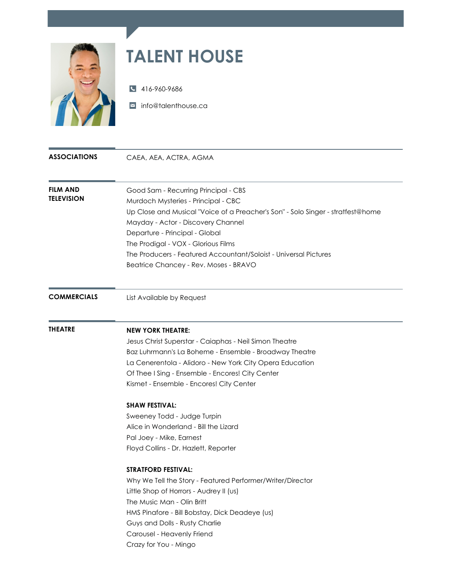

## **TALENT HOUSE**

416-960-9686

nfo@talenthouse.ca

| <b>ASSOCIATIONS</b>                  | CAEA, AEA, ACTRA, AGMA                                                                                                                                                                                                                                                                                                                                                                     |
|--------------------------------------|--------------------------------------------------------------------------------------------------------------------------------------------------------------------------------------------------------------------------------------------------------------------------------------------------------------------------------------------------------------------------------------------|
| <b>FILM AND</b><br><b>TELEVISION</b> | Good Sam - Recurring Principal - CBS<br>Murdoch Mysteries - Principal - CBC<br>Up Close and Musical "Voice of a Preacher's Son" - Solo Singer - stratfest@home<br>Mayday - Actor - Discovery Channel<br>Departure - Principal - Global<br>The Prodigal - VOX - Glorious Films<br>The Producers - Featured Accountant/Soloist - Universal Pictures<br>Beatrice Chancey - Rev. Moses - BRAVO |
| <b>COMMERCIALS</b>                   | List Available by Request                                                                                                                                                                                                                                                                                                                                                                  |
| <b>THEATRE</b>                       | <b>NEW YORK THEATRE:</b><br>Jesus Christ Superstar - Caiaphas - Neil Simon Theatre<br>Baz Luhrmann's La Boheme - Ensemble - Broadway Theatre<br>La Cenerentola - Alidoro - New York City Opera Education<br>Of Thee I Sing - Ensemble - Encores! City Center<br>Kismet - Ensemble - Encores! City Center                                                                                   |
|                                      | <b>SHAW FESTIVAL:</b><br>Sweeney Todd - Judge Turpin<br>Alice in Wonderland - Bill the Lizard<br>Pal Joey - Mike, Earnest<br>Floyd Collins - Dr. Hazlett, Reporter                                                                                                                                                                                                                         |
|                                      | <b>STRATFORD FESTIVAL:</b><br>Why We Tell the Story - Featured Performer/Writer/Director<br>Little Shop of Horrors - Audrey II (us)<br>The Music Man - Olin Britt<br>HMS Pinafore - Bill Bobstay, Dick Deadeye (us)<br>Guys and Dolls - Rusty Charlie<br>Carousel - Heavenly Friend<br>Crazy for You - Mingo                                                                               |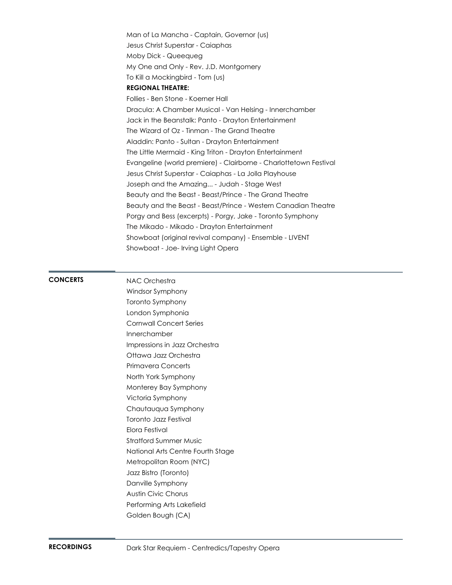Man of La Mancha - Captain, Governor (us) Jesus Christ Superstar - Caiaphas Moby Dick - Queequeg My One and Only - Rev. J.D. Montgomery To Kill a Mockingbird - Tom (us) **REGIONAL THEATRE:** Follies - Ben Stone - Koerner Hall Dracula: A Chamber Musical - Van Helsing - Innerchamber Jack in the Beanstalk: Panto - Drayton Entertainment The Wizard of Oz - Tinman - The Grand Theatre Aladdin: Panto - Sultan - Drayton Entertainment The Little Mermaid - King Triton - Drayton Entertainment Evangeline (world premiere) - Clairborne - Charlottetown Festival Jesus Christ Superstar - Caiaphas - La Jolla Playhouse Joseph and the Amazing... - Judah - Stage West Beauty and the Beast - Beast/Prince - The Grand Theatre Beauty and the Beast - Beast/Prince - Western Canadian Theatre Porgy and Bess (excerpts) - Porgy, Jake - Toronto Symphony The Mikado - Mikado - Drayton Entertainment Showboat (original revival company) - Ensemble - LIVENT Showboat - Joe- Irving Light Opera

## **CONCERTS**

NAC Orchestra Windsor Symphony Toronto Symphony London Symphonia Cornwall Concert Series Innerchamber Impressions in Jazz Orchestra Ottawa Jazz Orchestra Primavera Concerts North York Symphony Monterey Bay Symphony Victoria Symphony Chautauqua Symphony Toronto Jazz Festival Elora Festival Stratford Summer Music National Arts Centre Fourth Stage Metropolitan Room (NYC) Jazz Bistro (Toronto) Danville Symphony Austin Civic Chorus Performing Arts Lakefield Golden Bough (CA)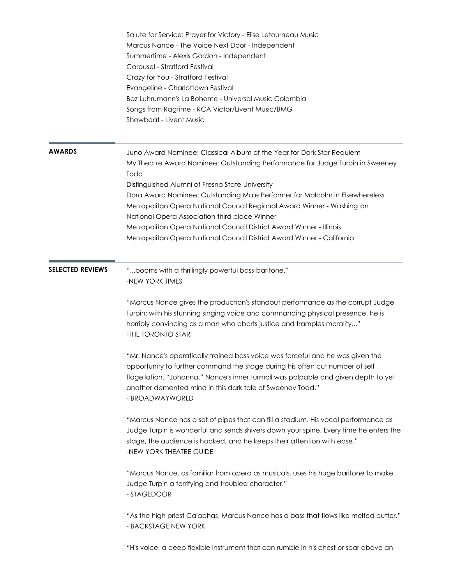|                         | Salute for Service: Prayer for Victory - Elise Letourneau Music<br>Marcus Nance - The Voice Next Door - Independent<br>Summertime - Alexis Gordon - Independent<br>Carousel - Stratford Festival<br>Crazy for You - Stratford Festival<br>Evangeline - Charlottown Festival<br>Baz Luhrumann's La Boheme - Universal Music Colombia<br>Songs from Ragtime - RCA Victor/Livent Music/BMG<br>Showboat - Livent Music                                                                                                                                                                                                                                                                                                                                                                                                                                                                                                                                                                                                                                                                                                                                                                                                                                |
|-------------------------|---------------------------------------------------------------------------------------------------------------------------------------------------------------------------------------------------------------------------------------------------------------------------------------------------------------------------------------------------------------------------------------------------------------------------------------------------------------------------------------------------------------------------------------------------------------------------------------------------------------------------------------------------------------------------------------------------------------------------------------------------------------------------------------------------------------------------------------------------------------------------------------------------------------------------------------------------------------------------------------------------------------------------------------------------------------------------------------------------------------------------------------------------------------------------------------------------------------------------------------------------|
| <b>AWARDS</b>           | Juno Award Nominee: Classical Album of the Year for Dark Star Requiem<br>My Theatre Award Nominee: Outstanding Performance for Judge Turpin in Sweeney<br>Todd<br>Distinguished Alumni of Fresno State University<br>Dora Award Nominee: Outstanding Male Performer for Malcolm in Elsewhereless<br>Metropolitan Opera National Council Regional Award Winner - Washington<br>National Opera Association third place Winner<br>Metropolitan Opera National Council District Award Winner - Illinois<br>Metropolitan Opera National Council District Award Winner - California                                                                                                                                                                                                                                                                                                                                                                                                                                                                                                                                                                                                                                                                     |
| <b>SELECTED REVIEWS</b> | "booms with a thrillingly powerful bass-baritone."<br>-NEW YORK TIMES<br>"Marcus Nance gives the production's standout performance as the corrupt Judge<br>Turpin: with his stunning singing voice and commanding physical presence, he is<br>horribly convincing as a man who aborts justice and tramples morality"<br>-THE TORONTO STAR<br>"Mr. Nance's operatically trained bass voice was forceful and he was given the<br>opportunity to further command the stage during his often cut number of self<br>flagellation, "Johanna." Nance's inner turmoil was palpable and given depth to yet<br>another demented mind in this dark tale of Sweeney Todd."<br>- BROADWAYWORLD<br>"Marcus Nance has a set of pipes that can fill a stadium. His vocal performance as<br>Judge Turpin is wonderful and sends shivers down your spine. Every time he enters the<br>stage, the audience is hooked, and he keeps their attention with ease."<br>-NEW YORK THEATRE GUIDE<br>"Marcus Nance, as familiar from opera as musicals, uses his huge baritone to make<br>Judge Turpin a terrifying and troubled character."<br>- STAGEDOOR<br>"As the high priest Caiaphas, Marcus Nance has a bass that flows like melted butter."<br>- BACKSTAGE NEW YORK |
|                         | "His voice, a deep flexible instrument that can rumble in his chest or soar above an                                                                                                                                                                                                                                                                                                                                                                                                                                                                                                                                                                                                                                                                                                                                                                                                                                                                                                                                                                                                                                                                                                                                                              |